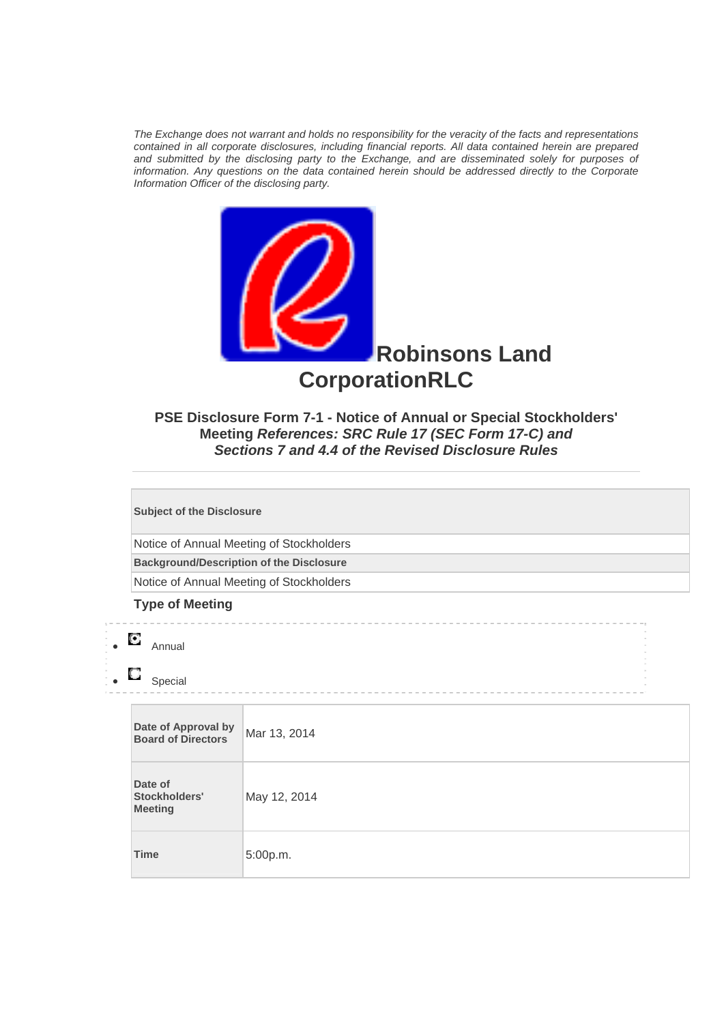*The Exchange does not warrant and holds no responsibility for the veracity of the facts and representations contained in all corporate disclosures, including financial reports. All data contained herein are prepared and submitted by the disclosing party to the Exchange, and are disseminated solely for purposes of information. Any questions on the data contained herein should be addressed directly to the Corporate Information Officer of the disclosing party.* 



**PSE Disclosure Form 7-1 - Notice of Annual or Special Stockholders' Meeting** *References: SRC Rule 17 (SEC Form 17-C) and Sections 7 and 4.4 of the Revised Disclosure Rules*

**Subject of the Disclosure** 

Notice of Annual Meeting of Stockholders

**Background/Description of the Disclosure**

Notice of Annual Meeting of Stockholders

## **Type of Meeting**

## • Annual

 $\overline{\phantom{a}}$ 

 $\Box$  Special

| Date of Approval by<br><b>Board of Directors</b> | Mar 13, 2014 |
|--------------------------------------------------|--------------|
| Date of<br>Stockholders'<br><b>Meeting</b>       | May 12, 2014 |
| <b>Time</b>                                      | 5:00p.m.     |